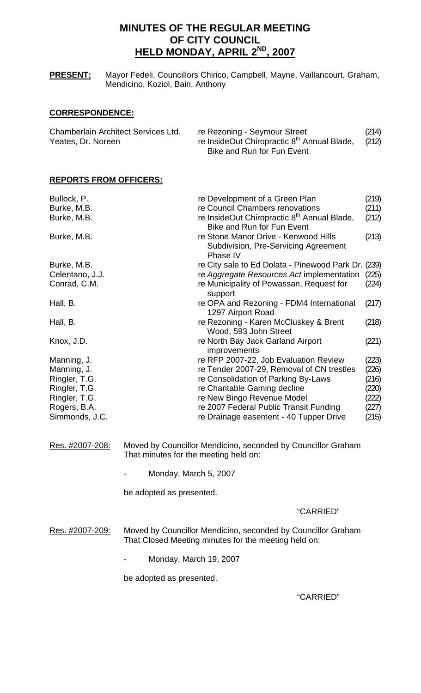# **MINUTES OF THE REGULAR MEETING OF CITY COUNCIL HELD MONDAY, APRIL 2ND, 2007**

**PRESENT:** Mayor Fedeli, Councillors Chirico, Campbell, Mayne, Vaillancourt, Graham, Mendicino, Koziol, Bain, Anthony

# **CORRESPONDENCE:**

| <b>Chamberlain Architect Services Ltd.</b> | re Rezoning - Seymour Street                            | (214) |
|--------------------------------------------|---------------------------------------------------------|-------|
| Yeates, Dr. Noreen                         | re InsideOut Chiropractic 8 <sup>th</sup> Annual Blade, | (212) |
|                                            | Bike and Run for Fun Event                              |       |

# **REPORTS FROM OFFICERS:**

| Bullock, P.<br>Burke, M.B. | re Development of a Green Plan<br>re Council Chambers renovations                                                    | (219)<br>(211) |
|----------------------------|----------------------------------------------------------------------------------------------------------------------|----------------|
| Burke, M.B.                | re InsideOut Chiropractic 8 <sup>th</sup> Annual Blade,<br><b>Bike and Run for Fun Event</b>                         | (212)          |
| Burke, M.B.                | re Stone Manor Drive - Kenwood Hills<br>Subdivision, Pre-Servicing Agreement<br>Phase IV                             | (213)          |
| Burke, M.B.                | re City sale to Ed Dolata - Pinewood Park Dr. (239)                                                                  |                |
| Celentano, J.J.            | re Aggregate Resources Act implementation                                                                            | (225)          |
| Conrad, C.M.               | re Municipality of Powassan, Request for<br>support                                                                  | (224)          |
| Hall, B.                   | re OPA and Rezoning - FDM4 International<br>1297 Airport Road                                                        | (217)          |
| Hall, B.                   | re Rezoning - Karen McCluskey & Brent<br>Wood, 593 John Street                                                       | (218)          |
| Knox, J.D.                 | re North Bay Jack Garland Airport<br>improvements                                                                    | (221)          |
| Manning, J.                | re RFP 2007-22, Job Evaluation Review                                                                                | (223)          |
| Manning, J.                | re Tender 2007-29, Removal of CN trestles                                                                            | (226)          |
| Ringler, T.G.              | re Consolidation of Parking By-Laws                                                                                  | (216)          |
| Ringler, T.G.              | re Charitable Gaming decline                                                                                         | (220)          |
| Ringler, T.G.              | re New Bingo Revenue Model                                                                                           | (222)          |
| Rogers, B.A.               | re 2007 Federal Public Transit Funding                                                                               | (227)          |
| Simmonds, J.C.             | re Drainage easement - 40 Tupper Drive                                                                               | (215)          |
| <u>Res. #2007-208:</u>     | Moved by Councillor Mendicino, seconded by Councillor Graham<br>That minutes for the meeting held on:                |                |
|                            | Monday, March 5, 2007                                                                                                |                |
|                            | be adopted as presented.                                                                                             |                |
|                            | "CARRIED"                                                                                                            |                |
| Res. #2007-209:            | Moved by Councillor Mendicino, seconded by Councillor Graham<br>That Closed Meeting minutes for the meeting held on: |                |

- Monday, March 19, 2007

be adopted as presented.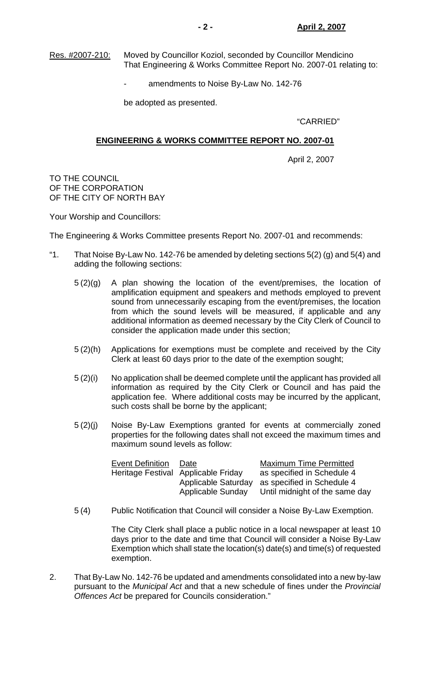Res. #2007-210: Moved by Councillor Koziol, seconded by Councillor Mendicino That Engineering & Works Committee Report No. 2007-01 relating to:

amendments to Noise By-Law No. 142-76

be adopted as presented.

"CARRIED"

## **ENGINEERING & WORKS COMMITTEE REPORT NO. 2007-01**

April 2, 2007

TO THE COUNCIL OF THE CORPORATION OF THE CITY OF NORTH BAY

Your Worship and Councillors:

The Engineering & Works Committee presents Report No. 2007-01 and recommends:

- "1. That Noise By-Law No. 142-76 be amended by deleting sections  $5(2)$  (g) and  $5(4)$  and adding the following sections:
	- 5 (2)(g) A plan showing the location of the event/premises, the location of amplification equipment and speakers and methods employed to prevent sound from unnecessarily escaping from the event/premises, the location from which the sound levels will be measured, if applicable and any additional information as deemed necessary by the City Clerk of Council to consider the application made under this section;
	- 5 (2)(h) Applications for exemptions must be complete and received by the City Clerk at least 60 days prior to the date of the exemption sought;
	- 5 (2)(i) No application shall be deemed complete until the applicant has provided all information as required by the City Clerk or Council and has paid the application fee. Where additional costs may be incurred by the applicant, such costs shall be borne by the applicant;
	- 5 (2)(j) Noise By-Law Exemptions granted for events at commercially zoned properties for the following dates shall not exceed the maximum times and maximum sound levels as follow:

| <b>Event Definition</b> | Date                                | <b>Maximum Time Permitted</b>                  |
|-------------------------|-------------------------------------|------------------------------------------------|
|                         | Heritage Festival Applicable Friday | as specified in Schedule 4                     |
|                         |                                     | Applicable Saturday as specified in Schedule 4 |
|                         | Applicable Sunday                   | Until midnight of the same day                 |

5 (4) Public Notification that Council will consider a Noise By-Law Exemption.

 The City Clerk shall place a public notice in a local newspaper at least 10 days prior to the date and time that Council will consider a Noise By-Law Exemption which shall state the location(s) date(s) and time(s) of requested exemption.

2. That By-Law No. 142-76 be updated and amendments consolidated into a new by-law pursuant to the *Municipal Act* and that a new schedule of fines under the *Provincial Offences Act* be prepared for Councils consideration."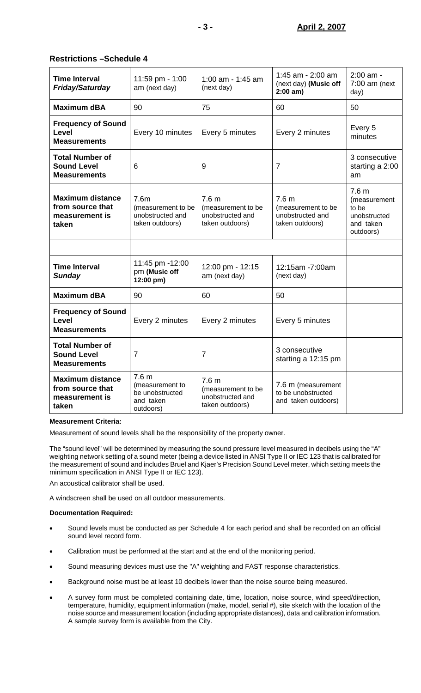# **Restrictions –Schedule 4**

| <b>Time Interval</b><br><b>Friday/Saturday</b>                         | 11:59 pm - 1:00<br>am (next day)                                                 | 1:00 am - 1:45 am<br>(next day)                                               | 1:45 am - 2:00 am<br>(next day) (Music off<br>$2:00$ am)                      | 2:00 am -<br>$7:00$ am (next<br>day)                                                |
|------------------------------------------------------------------------|----------------------------------------------------------------------------------|-------------------------------------------------------------------------------|-------------------------------------------------------------------------------|-------------------------------------------------------------------------------------|
| <b>Maximum dBA</b>                                                     | 90                                                                               | 75                                                                            | 60                                                                            | 50                                                                                  |
| <b>Frequency of Sound</b><br>Level<br><b>Measurements</b>              | Every 10 minutes                                                                 | Every 5 minutes                                                               | Every 2 minutes                                                               | Every 5<br>minutes                                                                  |
| <b>Total Number of</b><br><b>Sound Level</b><br><b>Measurements</b>    | 6                                                                                | 9                                                                             | $\overline{7}$                                                                | 3 consecutive<br>starting a 2:00<br>am                                              |
| <b>Maximum distance</b><br>from source that<br>measurement is<br>taken | 7.6m<br>(measurement to be<br>unobstructed and<br>taken outdoors)                | 7.6 <sub>m</sub><br>(measurement to be<br>unobstructed and<br>taken outdoors) | 7.6 <sub>m</sub><br>(measurement to be<br>unobstructed and<br>taken outdoors) | 7.6 <sub>m</sub><br>(measurement<br>to be<br>unobstructed<br>and taken<br>outdoors) |
|                                                                        |                                                                                  |                                                                               |                                                                               |                                                                                     |
| <b>Time Interval</b><br><b>Sunday</b>                                  | 11:45 pm -12:00<br>pm (Music off<br>12:00 pm)                                    | 12:00 pm - 12:15<br>am (next day)                                             | 12:15am -7:00am<br>(next day)                                                 |                                                                                     |
| <b>Maximum dBA</b>                                                     | 90                                                                               | 60                                                                            | 50                                                                            |                                                                                     |
| <b>Frequency of Sound</b><br>Level<br><b>Measurements</b>              | Every 2 minutes                                                                  | Every 2 minutes                                                               | Every 5 minutes                                                               |                                                                                     |
| <b>Total Number of</b><br><b>Sound Level</b><br><b>Measurements</b>    | 7                                                                                | 7                                                                             | 3 consecutive<br>starting a 12:15 pm                                          |                                                                                     |
| <b>Maximum distance</b><br>from source that<br>measurement is<br>taken | 7.6 <sub>m</sub><br>(measurement to<br>be unobstructed<br>and taken<br>outdoors) | 7.6 <sub>m</sub><br>(measurement to be<br>unobstructed and<br>taken outdoors) | 7.6 m (measurement<br>to be unobstructed<br>and taken outdoors)               |                                                                                     |

#### **Measurement Criteria:**

Measurement of sound levels shall be the responsibility of the property owner.

The "sound level" will be determined by measuring the sound pressure level measured in decibels using the "A" weighting network setting of a sound meter (being a device listed in ANSI Type II or IEC 123 that is calibrated for the measurement of sound and includes Bruel and Kjaer's Precision Sound Level meter, which setting meets the minimum specification in ANSI Type II or IEC 123).

An acoustical calibrator shall be used.

A windscreen shall be used on all outdoor measurements.

#### **Documentation Required:**

- Sound levels must be conducted as per Schedule 4 for each period and shall be recorded on an official sound level record form.
- Calibration must be performed at the start and at the end of the monitoring period.
- Sound measuring devices must use the "A" weighting and FAST response characteristics.
- Background noise must be at least 10 decibels lower than the noise source being measured.
- A survey form must be completed containing date, time, location, noise source, wind speed/direction, temperature, humidity, equipment information (make, model, serial #), site sketch with the location of the noise source and measurement location (including appropriate distances), data and calibration information. A sample survey form is available from the City.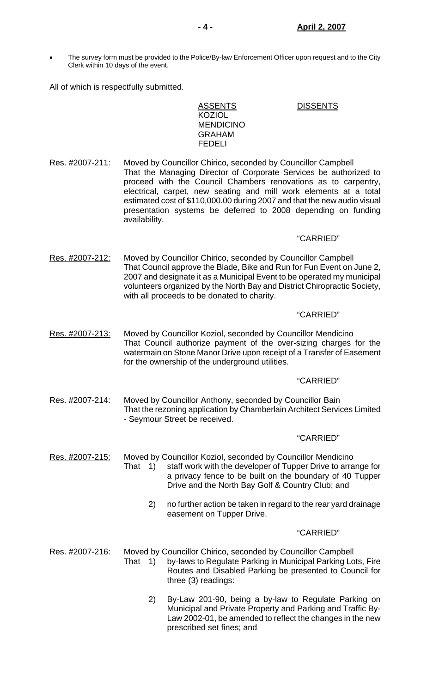• The survey form must be provided to the Police/By-law Enforcement Officer upon request and to the City Clerk within 10 days of the event.

All of which is respectfully submitted.

ASSENTS DISSENTS KOZIOL MENDICINO GRAHAM FEDELI

Res. #2007-211: Moved by Councillor Chirico, seconded by Councillor Campbell That the Managing Director of Corporate Services be authorized to proceed with the Council Chambers renovations as to carpentry, electrical, carpet, new seating and mill work elements at a total estimated cost of \$110,000.00 during 2007 and that the new audio visual presentation systems be deferred to 2008 depending on funding availability.

### "CARRIED"

Res. #2007-212: Moved by Councillor Chirico, seconded by Councillor Campbell That Council approve the Blade, Bike and Run for Fun Event on June 2, 2007 and designate it as a Municipal Event to be operated my municipal volunteers organized by the North Bay and District Chiropractic Society, with all proceeds to be donated to charity.

### "CARRIED"

Res. #2007-213: Moved by Councillor Koziol, seconded by Councillor Mendicino That Council authorize payment of the over-sizing charges for the watermain on Stone Manor Drive upon receipt of a Transfer of Easement for the ownership of the underground utilities.

#### "CARRIED"

Res. #2007-214: Moved by Councillor Anthony, seconded by Councillor Bain That the rezoning application by Chamberlain Architect Services Limited - Seymour Street be received.

#### "CARRIED"

- Res. #2007-215: Moved by Councillor Koziol, seconded by Councillor Mendicino That 1) staff work with the developer of Tupper Drive to arrange for a privacy fence to be built on the boundary of 40 Tupper Drive and the North Bay Golf & Country Club; and
	- 2) no further action be taken in regard to the rear yard drainage easement on Tupper Drive.

- Res. #2007-216: Moved by Councillor Chirico, seconded by Councillor Campbell That 1) by-laws to Regulate Parking in Municipal Parking Lots, Fire Routes and Disabled Parking be presented to Council for three (3) readings:
	- 2) By-Law 201-90, being a by-law to Regulate Parking on Municipal and Private Property and Parking and Traffic By-Law 2002-01, be amended to reflect the changes in the new prescribed set fines; and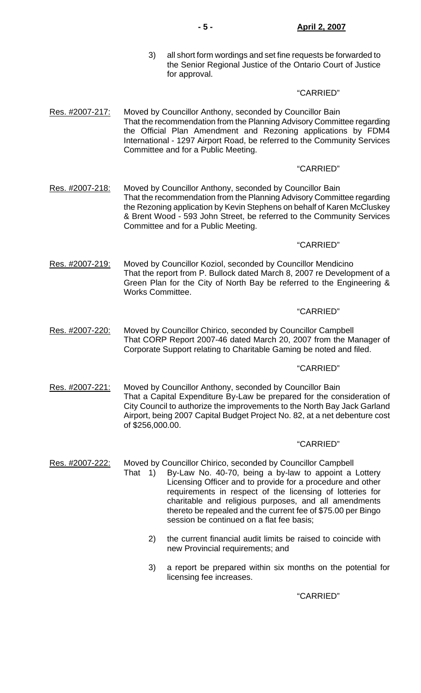3) all short form wordings and set fine requests be forwarded to the Senior Regional Justice of the Ontario Court of Justice for approval.

# "CARRIED"

Res. #2007-217: Moved by Councillor Anthony, seconded by Councillor Bain That the recommendation from the Planning Advisory Committee regarding the Official Plan Amendment and Rezoning applications by FDM4 International - 1297 Airport Road, be referred to the Community Services Committee and for a Public Meeting.

# "CARRIED"

Res. #2007-218: Moved by Councillor Anthony, seconded by Councillor Bain That the recommendation from the Planning Advisory Committee regarding the Rezoning application by Kevin Stephens on behalf of Karen McCluskey & Brent Wood - 593 John Street, be referred to the Community Services Committee and for a Public Meeting.

### "CARRIED"

Res. #2007-219: Moved by Councillor Koziol, seconded by Councillor Mendicino That the report from P. Bullock dated March 8, 2007 re Development of a Green Plan for the City of North Bay be referred to the Engineering & Works Committee.

#### "CARRIED"

Res. #2007-220: Moved by Councillor Chirico, seconded by Councillor Campbell That CORP Report 2007-46 dated March 20, 2007 from the Manager of Corporate Support relating to Charitable Gaming be noted and filed.

### "CARRIED"

Res. #2007-221: Moved by Councillor Anthony, seconded by Councillor Bain That a Capital Expenditure By-Law be prepared for the consideration of City Council to authorize the improvements to the North Bay Jack Garland Airport, being 2007 Capital Budget Project No. 82, at a net debenture cost of \$256,000.00.

#### "CARRIED"

Res. #2007-222: Moved by Councillor Chirico, seconded by Councillor Campbell

- That 1) By-Law No. 40-70, being a by-law to appoint a Lottery Licensing Officer and to provide for a procedure and other requirements in respect of the licensing of lotteries for charitable and religious purposes, and all amendments thereto be repealed and the current fee of \$75.00 per Bingo session be continued on a flat fee basis;
	- 2) the current financial audit limits be raised to coincide with new Provincial requirements; and
	- 3) a report be prepared within six months on the potential for licensing fee increases.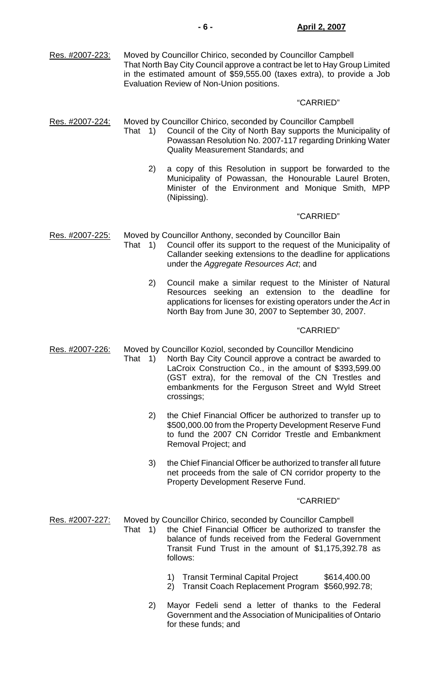| Res. #2007-223: | Moved by Councillor Chirico, seconded by Councillor Campbell               |
|-----------------|----------------------------------------------------------------------------|
|                 | That North Bay City Council approve a contract be let to Hay Group Limited |
|                 | in the estimated amount of \$59,555.00 (taxes extra), to provide a Job     |
|                 | Evaluation Review of Non-Union positions.                                  |

# "CARRIED"

Res. #2007-224: Moved by Councillor Chirico, seconded by Councillor Campbell

- That 1) Council of the City of North Bay supports the Municipality of Powassan Resolution No. 2007-117 regarding Drinking Water Quality Measurement Standards; and
	- 2) a copy of this Resolution in support be forwarded to the Municipality of Powassan, the Honourable Laurel Broten, Minister of the Environment and Monique Smith, MPP (Nipissing).

#### "CARRIED"

Res. #2007-225: Moved by Councillor Anthony, seconded by Councillor Bain

- That 1) Council offer its support to the request of the Municipality of Callander seeking extensions to the deadline for applications under the *Aggregate Resources Act*; and
	- 2) Council make a similar request to the Minister of Natural Resources seeking an extension to the deadline for applications for licenses for existing operators under the *Act* in North Bay from June 30, 2007 to September 30, 2007.

#### "CARRIED"

Res. #2007-226: Moved by Councillor Koziol, seconded by Councillor Mendicino

- That 1) North Bay City Council approve a contract be awarded to LaCroix Construction Co., in the amount of \$393,599.00 (GST extra), for the removal of the CN Trestles and embankments for the Ferguson Street and Wyld Street crossings;
	- 2) the Chief Financial Officer be authorized to transfer up to \$500,000.00 from the Property Development Reserve Fund to fund the 2007 CN Corridor Trestle and Embankment Removal Project; and
	- 3) the Chief Financial Officer be authorized to transfer all future net proceeds from the sale of CN corridor property to the Property Development Reserve Fund.

#### "CARRIED"

Res. #2007-227: Moved by Councillor Chirico, seconded by Councillor Campbell

- That 1) the Chief Financial Officer be authorized to transfer the balance of funds received from the Federal Government Transit Fund Trust in the amount of \$1,175,392.78 as follows:
	- 1) Transit Terminal Capital Project \$614,400.00
	- 2) Transit Coach Replacement Program \$560,992.78;
	- 2) Mayor Fedeli send a letter of thanks to the Federal Government and the Association of Municipalities of Ontario for these funds; and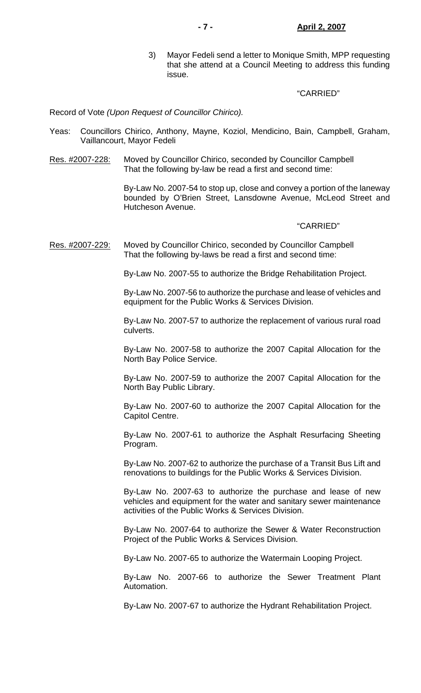3) Mayor Fedeli send a letter to Monique Smith, MPP requesting that she attend at a Council Meeting to address this funding issue.

#### "CARRIED"

Record of Vote *(Upon Request of Councillor Chirico).*

- Yeas: Councillors Chirico, Anthony, Mayne, Koziol, Mendicino, Bain, Campbell, Graham, Vaillancourt, Mayor Fedeli
- Res. #2007-228: Moved by Councillor Chirico, seconded by Councillor Campbell That the following by-law be read a first and second time:

 By-Law No. 2007-54 to stop up, close and convey a portion of the laneway bounded by O'Brien Street, Lansdowne Avenue, McLeod Street and Hutcheson Avenue.

#### "CARRIED"

Res. #2007-229: Moved by Councillor Chirico, seconded by Councillor Campbell That the following by-laws be read a first and second time:

By-Law No. 2007-55 to authorize the Bridge Rehabilitation Project.

 By-Law No. 2007-56 to authorize the purchase and lease of vehicles and equipment for the Public Works & Services Division.

 By-Law No. 2007-57 to authorize the replacement of various rural road culverts.

 By-Law No. 2007-58 to authorize the 2007 Capital Allocation for the North Bay Police Service.

 By-Law No. 2007-59 to authorize the 2007 Capital Allocation for the North Bay Public Library.

 By-Law No. 2007-60 to authorize the 2007 Capital Allocation for the Capitol Centre.

 By-Law No. 2007-61 to authorize the Asphalt Resurfacing Sheeting Program.

 By-Law No. 2007-62 to authorize the purchase of a Transit Bus Lift and renovations to buildings for the Public Works & Services Division.

 By-Law No. 2007-63 to authorize the purchase and lease of new vehicles and equipment for the water and sanitary sewer maintenance activities of the Public Works & Services Division.

 By-Law No. 2007-64 to authorize the Sewer & Water Reconstruction Project of the Public Works & Services Division.

By-Law No. 2007-65 to authorize the Watermain Looping Project.

 By-Law No. 2007-66 to authorize the Sewer Treatment Plant Automation.

By-Law No. 2007-67 to authorize the Hydrant Rehabilitation Project.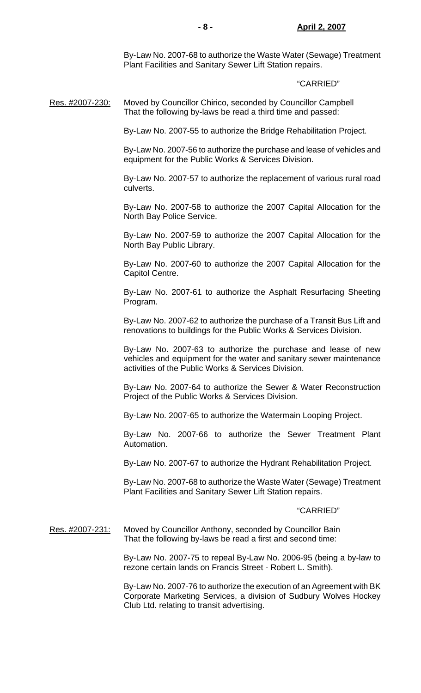By-Law No. 2007-68 to authorize the Waste Water (Sewage) Treatment Plant Facilities and Sanitary Sewer Lift Station repairs.

#### "CARRIED"

Res. #2007-230: Moved by Councillor Chirico, seconded by Councillor Campbell That the following by-laws be read a third time and passed:

By-Law No. 2007-55 to authorize the Bridge Rehabilitation Project.

 By-Law No. 2007-56 to authorize the purchase and lease of vehicles and equipment for the Public Works & Services Division.

 By-Law No. 2007-57 to authorize the replacement of various rural road culverts.

 By-Law No. 2007-58 to authorize the 2007 Capital Allocation for the North Bay Police Service.

 By-Law No. 2007-59 to authorize the 2007 Capital Allocation for the North Bay Public Library.

 By-Law No. 2007-60 to authorize the 2007 Capital Allocation for the Capitol Centre.

 By-Law No. 2007-61 to authorize the Asphalt Resurfacing Sheeting Program.

 By-Law No. 2007-62 to authorize the purchase of a Transit Bus Lift and renovations to buildings for the Public Works & Services Division.

 By-Law No. 2007-63 to authorize the purchase and lease of new vehicles and equipment for the water and sanitary sewer maintenance activities of the Public Works & Services Division.

 By-Law No. 2007-64 to authorize the Sewer & Water Reconstruction Project of the Public Works & Services Division.

By-Law No. 2007-65 to authorize the Watermain Looping Project.

 By-Law No. 2007-66 to authorize the Sewer Treatment Plant Automation.

By-Law No. 2007-67 to authorize the Hydrant Rehabilitation Project.

 By-Law No. 2007-68 to authorize the Waste Water (Sewage) Treatment Plant Facilities and Sanitary Sewer Lift Station repairs.

#### "CARRIED"

Res. #2007-231: Moved by Councillor Anthony, seconded by Councillor Bain That the following by-laws be read a first and second time:

> By-Law No. 2007-75 to repeal By-Law No. 2006-95 (being a by-law to rezone certain lands on Francis Street - Robert L. Smith).

> By-Law No. 2007-76 to authorize the execution of an Agreement with BK Corporate Marketing Services, a division of Sudbury Wolves Hockey Club Ltd. relating to transit advertising.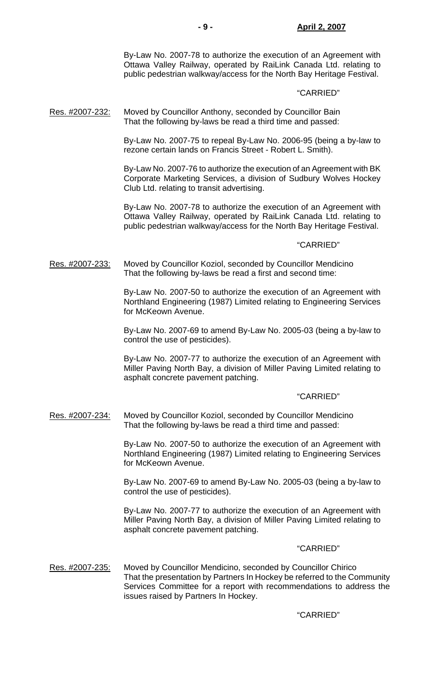By-Law No. 2007-78 to authorize the execution of an Agreement with Ottawa Valley Railway, operated by RaiLink Canada Ltd. relating to public pedestrian walkway/access for the North Bay Heritage Festival.

# "CARRIED"

Res. #2007-232: Moved by Councillor Anthony, seconded by Councillor Bain That the following by-laws be read a third time and passed:

> By-Law No. 2007-75 to repeal By-Law No. 2006-95 (being a by-law to rezone certain lands on Francis Street - Robert L. Smith).

> By-Law No. 2007-76 to authorize the execution of an Agreement with BK Corporate Marketing Services, a division of Sudbury Wolves Hockey Club Ltd. relating to transit advertising.

> By-Law No. 2007-78 to authorize the execution of an Agreement with Ottawa Valley Railway, operated by RaiLink Canada Ltd. relating to public pedestrian walkway/access for the North Bay Heritage Festival.

#### "CARRIED"

Res. #2007-233: Moved by Councillor Koziol, seconded by Councillor Mendicino That the following by-laws be read a first and second time:

> By-Law No. 2007-50 to authorize the execution of an Agreement with Northland Engineering (1987) Limited relating to Engineering Services for McKeown Avenue.

> By-Law No. 2007-69 to amend By-Law No. 2005-03 (being a by-law to control the use of pesticides).

> By-Law No. 2007-77 to authorize the execution of an Agreement with Miller Paving North Bay, a division of Miller Paving Limited relating to asphalt concrete pavement patching.

#### "CARRIED"

Res. #2007-234: Moved by Councillor Koziol, seconded by Councillor Mendicino That the following by-laws be read a third time and passed:

> By-Law No. 2007-50 to authorize the execution of an Agreement with Northland Engineering (1987) Limited relating to Engineering Services for McKeown Avenue.

> By-Law No. 2007-69 to amend By-Law No. 2005-03 (being a by-law to control the use of pesticides).

> By-Law No. 2007-77 to authorize the execution of an Agreement with Miller Paving North Bay, a division of Miller Paving Limited relating to asphalt concrete pavement patching.

#### "CARRIED"

Res. #2007-235: Moved by Councillor Mendicino, seconded by Councillor Chirico That the presentation by Partners In Hockey be referred to the Community Services Committee for a report with recommendations to address the issues raised by Partners In Hockey.